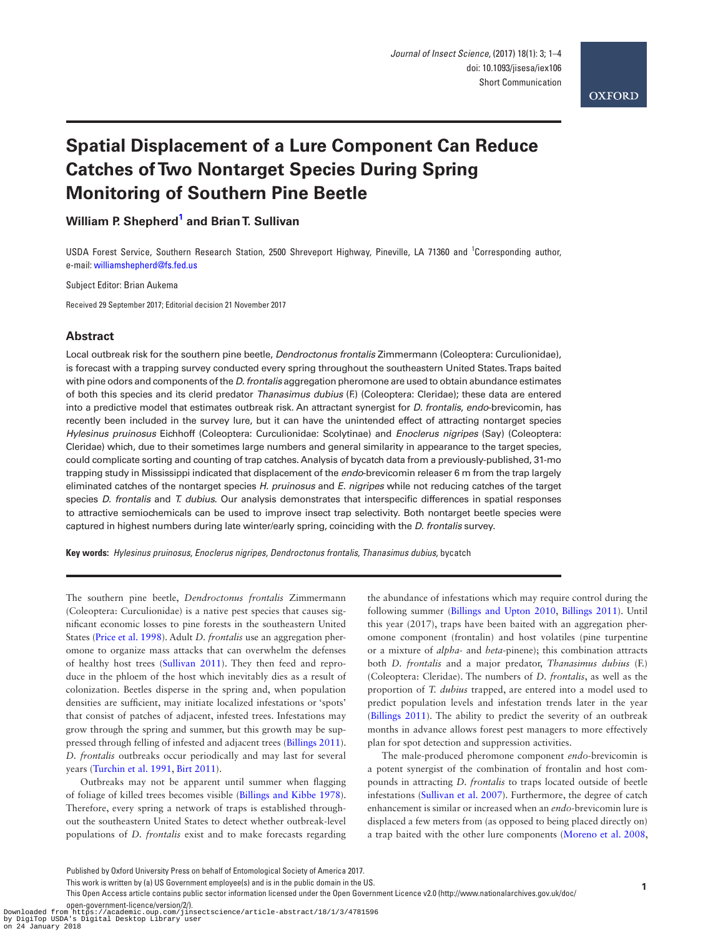# **Spatial Displacement of a Lure Component Can Reduce Catches of Two Nontarget Species During Spring Monitoring of Southern Pine Beetle**

**William P. Shepher[d1](#page-0-0) and Brian T. Sullivan**

<span id="page-0-0"></span>USDA Forest Service, Southern Research Station, 2500 Shreveport Highway, Pineville, LA 71360 and <sup>1</sup> Corresponding author, e-mail: [williamshepherd@fs.fed.us](mailto:williamshepherd@fs.fed.us?subject=)

Subject Editor: Brian Aukema

Received 29 September 2017; Editorial decision 21 November 2017

## **Abstract**

Local outbreak risk for the southern pine beetle, *Dendroctonus frontalis* Zimmermann (Coleoptera: Curculionidae), is forecast with a trapping survey conducted every spring throughout the southeastern United States. Traps baited with pine odors and components of the *D. frontalis* aggregation pheromone are used to obtain abundance estimates of both this species and its clerid predator *Thanasimus dubius* (F.) (Coleoptera: Cleridae); these data are entered into a predictive model that estimates outbreak risk. An attractant synergist for *D. frontalis*, *endo*-brevicomin, has recently been included in the survey lure, but it can have the unintended effect of attracting nontarget species *Hylesinus pruinosus* Eichhoff (Coleoptera: Curculionidae: Scolytinae) and *Enoclerus nigripes* (Say) (Coleoptera: Cleridae) which, due to their sometimes large numbers and general similarity in appearance to the target species, could complicate sorting and counting of trap catches. Analysis of bycatch data from a previously-published, 31-mo trapping study in Mississippi indicated that displacement of the *endo*-brevicomin releaser 6 m from the trap largely eliminated catches of the nontarget species *H. pruinosus* and *E. nigripes* while not reducing catches of the target species *D. frontalis* and *T. dubius*. Our analysis demonstrates that interspecific differences in spatial responses to attractive semiochemicals can be used to improve insect trap selectivity. Both nontarget beetle species were captured in highest numbers during late winter/early spring, coinciding with the *D. frontalis* survey.

**Key words:** *Hylesinus pruinosus*, *Enoclerus nigripes*, *Dendroctonus frontalis*, *Thanasimus dubius*, bycatch

The southern pine beetle, *Dendroctonus frontalis* Zimmermann (Coleoptera: Curculionidae) is a native pest species that causes significant economic losses to pine forests in the southeastern United States ([Price et al. 1998](#page-3-0)). Adult *D. frontalis* use an aggregation pheromone to organize mass attacks that can overwhelm the defenses of healthy host trees ([Sullivan 2011](#page-3-1)). They then feed and reproduce in the phloem of the host which inevitably dies as a result of colonization. Beetles disperse in the spring and, when population densities are sufficient, may initiate localized infestations or 'spots' that consist of patches of adjacent, infested trees. Infestations may grow through the spring and summer, but this growth may be suppressed through felling of infested and adjacent trees [\(Billings 2011](#page-3-2)). *D. frontalis* outbreaks occur periodically and may last for several years ([Turchin et al. 1991](#page-3-3), [Birt 2011](#page-3-4)).

Outbreaks may not be apparent until summer when flagging of foliage of killed trees becomes visible ([Billings and Kibbe 1978](#page-3-5)). Therefore, every spring a network of traps is established throughout the southeastern United States to detect whether outbreak-level populations of *D. frontalis* exist and to make forecasts regarding

the abundance of infestations which may require control during the following summer ([Billings and Upton 2010](#page-3-6), [Billings 2011\)](#page-3-2). Until this year (2017), traps have been baited with an aggregation pheromone component (frontalin) and host volatiles (pine turpentine or a mixture of *alpha*- and *beta*-pinene); this combination attracts both *D. frontalis* and a major predator, *Thanasimus dubius* (F.) (Coleoptera: Cleridae). The numbers of *D. frontalis*, as well as the proportion of *T. dubius* trapped, are entered into a model used to predict population levels and infestation trends later in the year ([Billings 2011](#page-3-2)). The ability to predict the severity of an outbreak months in advance allows forest pest managers to more effectively plan for spot detection and suppression activities.

The male-produced pheromone component *endo*-brevicomin is a potent synergist of the combination of frontalin and host compounds in attracting *D. frontalis* to traps located outside of beetle infestations ([Sullivan et al. 2007\)](#page-3-7). Furthermore, the degree of catch enhancement is similar or increased when an *endo*-brevicomin lure is displaced a few meters from (as opposed to being placed directly on) a trap baited with the other lure components ([Moreno et al. 2008](#page-3-8),

Published by Oxford University Press on behalf of Entomological Society of America 2017.

This work is written by (a) US Government employee(s) and is in the public domain in the US.

This Open Access article contains public sector information licensed under the Open Government Licence v2.0 (http://www.nationalarchives.gov.uk/doc/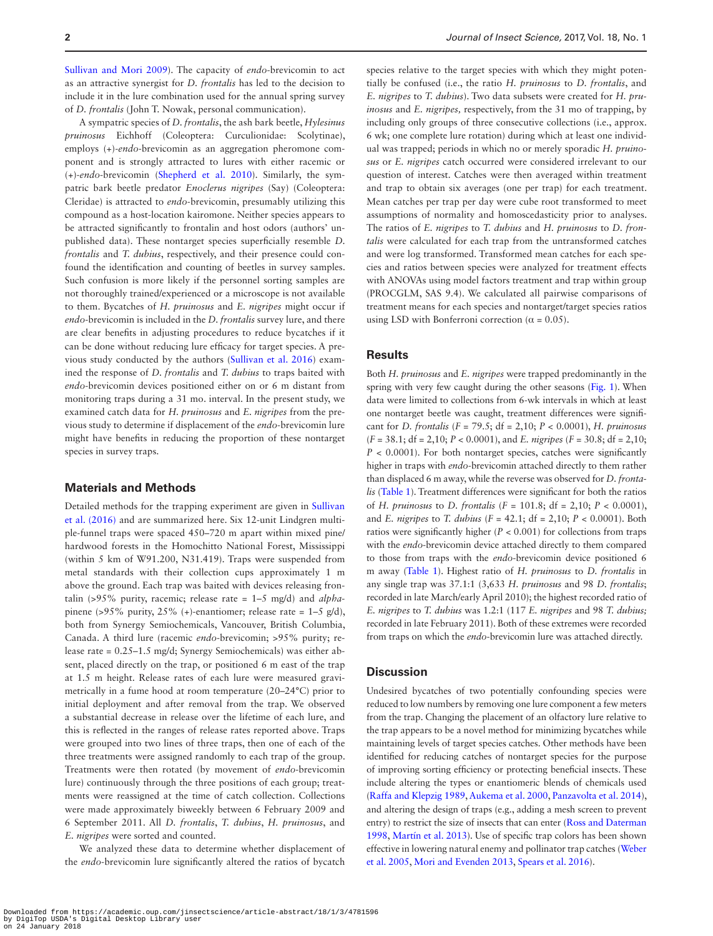[Sullivan and Mori 2009\)](#page-3-9). The capacity of *endo*-brevicomin to act as an attractive synergist for *D. frontalis* has led to the decision to include it in the lure combination used for the annual spring survey of *D. frontalis* (John T. Nowak, personal communication).

A sympatric species of *D. frontalis*, the ash bark beetle, *Hylesinus pruinosus* Eichhoff (Coleoptera: Curculionidae: Scolytinae), employs (+)-*endo*-brevicomin as an aggregation pheromone component and is strongly attracted to lures with either racemic or (+)-*endo*-brevicomin [\(Shepherd et al. 2010\)](#page-3-10). Similarly, the sympatric bark beetle predator *Enoclerus nigripes* (Say) (Coleoptera: Cleridae) is attracted to *endo*-brevicomin, presumably utilizing this compound as a host-location kairomone. Neither species appears to be attracted significantly to frontalin and host odors (authors' unpublished data). These nontarget species superficially resemble *D. frontalis* and *T. dubius*, respectively, and their presence could confound the identification and counting of beetles in survey samples. Such confusion is more likely if the personnel sorting samples are not thoroughly trained/experienced or a microscope is not available to them. Bycatches of *H. pruinosus* and *E. nigripes* might occur if *endo*-brevicomin is included in the *D. frontalis* survey lure, and there are clear benefits in adjusting procedures to reduce bycatches if it can be done without reducing lure efficacy for target species. A previous study conducted by the authors ([Sullivan et al. 2016](#page-3-11)) examined the response of *D. frontalis* and *T. dubius* to traps baited with *endo*-brevicomin devices positioned either on or 6 m distant from monitoring traps during a 31 mo. interval. In the present study, we examined catch data for *H. pruinosus* and *E. nigripes* from the previous study to determine if displacement of the *endo*-brevicomin lure might have benefits in reducing the proportion of these nontarget species in survey traps.

## **Materials and Methods**

Detailed methods for the trapping experiment are given in [Sullivan](#page-3-11) [et al. \(2016\)](#page-3-11) and are summarized here. Six 12-unit Lindgren multiple-funnel traps were spaced 450–720 m apart within mixed pine/ hardwood forests in the Homochitto National Forest, Mississippi (within 5 km of W91.200, N31.419). Traps were suspended from metal standards with their collection cups approximately 1 m above the ground. Each trap was baited with devices releasing frontalin (>95% purity, racemic; release rate = 1–5 mg/d) and *alpha*pinene (>95% purity, 25% (+)-enantiomer; release rate = 1–5 g/d), both from Synergy Semiochemicals, Vancouver, British Columbia, Canada. A third lure (racemic *endo*-brevicomin; >95% purity; release rate = 0.25–1.5 mg/d; Synergy Semiochemicals) was either absent, placed directly on the trap, or positioned 6 m east of the trap at 1.5 m height. Release rates of each lure were measured gravimetrically in a fume hood at room temperature (20–24°C) prior to initial deployment and after removal from the trap. We observed a substantial decrease in release over the lifetime of each lure, and this is reflected in the ranges of release rates reported above. Traps were grouped into two lines of three traps, then one of each of the three treatments were assigned randomly to each trap of the group. Treatments were then rotated (by movement of *endo*-brevicomin lure) continuously through the three positions of each group; treatments were reassigned at the time of catch collection. Collections were made approximately biweekly between 6 February 2009 and 6 September 2011. All *D. frontalis*, *T. dubius*, *H. pruinosus*, and *E. nigripes* were sorted and counted.

We analyzed these data to determine whether displacement of the *endo*-brevicomin lure significantly altered the ratios of bycatch

species relative to the target species with which they might potentially be confused (i.e., the ratio *H. pruinosus* to *D. frontalis*, and *E. nigripes* to *T. dubius*). Two data subsets were created for *H. pruinosus* and *E. nigripes,* respectively, from the 31 mo of trapping, by including only groups of three consecutive collections (i.e., approx. 6 wk; one complete lure rotation) during which at least one individual was trapped; periods in which no or merely sporadic *H. pruinosus* or *E. nigripes* catch occurred were considered irrelevant to our question of interest. Catches were then averaged within treatment and trap to obtain six averages (one per trap) for each treatment. Mean catches per trap per day were cube root transformed to meet assumptions of normality and homoscedasticity prior to analyses. The ratios of *E. nigripes* to *T. dubius* and *H. pruinosus* to *D. frontalis* were calculated for each trap from the untransformed catches and were log transformed. Transformed mean catches for each species and ratios between species were analyzed for treatment effects with ANOVAs using model factors treatment and trap within group (PROCGLM, SAS 9.4). We calculated all pairwise comparisons of treatment means for each species and nontarget/target species ratios using LSD with Bonferroni correction ( $\alpha = 0.05$ ).

### **Results**

Both *H. pruinosus* and *E. nigripes* were trapped predominantly in the spring with very few caught during the other seasons ([Fig. 1](#page-2-0)). When data were limited to collections from 6-wk intervals in which at least one nontarget beetle was caught, treatment differences were significant for *D. frontalis* (*F* = 79.5; df = 2,10; *P* < 0.0001), *H. pruinosus*  $(F = 38.1; df = 2,10; P < 0.0001)$ , and *E. nigripes*  $(F = 30.8; df = 2,10;$  $P < 0.0001$ ). For both nontarget species, catches were significantly higher in traps with *endo*-brevicomin attached directly to them rather than displaced 6 m away, while the reverse was observed for *D. frontalis* [\(Table 1](#page-2-1)). Treatment differences were significant for both the ratios of *H. pruinosus* to *D. frontalis* (*F* = 101.8; df = 2,10; *P* < 0.0001), and *E. nigripes* to *T. dubius* (*F* = 42.1; df = 2,10; *P* < 0.0001). Both ratios were significantly higher (*P* < 0.001) for collections from traps with the *endo*-brevicomin device attached directly to them compared to those from traps with the *endo*-brevicomin device positioned 6 m away ([Table 1\)](#page-2-1). Highest ratio of *H. pruinosus* to *D. frontalis* in any single trap was 37.1:1 (3,633 *H. pruinosus* and 98 *D. frontalis*; recorded in late March/early April 2010); the highest recorded ratio of *E. nigripes* to *T. dubius* was 1.2:1 (117 *E. nigripes* and 98 *T. dubius;* recorded in late February 2011). Both of these extremes were recorded from traps on which the *endo*-brevicomin lure was attached directly.

## **Discussion**

Undesired bycatches of two potentially confounding species were reduced to low numbers by removing one lure component a few meters from the trap. Changing the placement of an olfactory lure relative to the trap appears to be a novel method for minimizing bycatches while maintaining levels of target species catches. Other methods have been identified for reducing catches of nontarget species for the purpose of improving sorting efficiency or protecting beneficial insects. These include altering the types or enantiomeric blends of chemicals used ([Raffa and Klepzig 1989,](#page-3-12) [Aukema et al. 2000,](#page-3-13) [Panzavolta et al. 2014\)](#page-3-14), and altering the design of traps (e.g., adding a mesh screen to prevent entry) to restrict the size of insects that can enter [\(Ross and Daterman](#page-3-15) [1998,](#page-3-15) [Martín et al. 2013](#page-3-16)). Use of specific trap colors has been shown effective in lowering natural enemy and pollinator trap catches [\(Weber](#page-3-17) [et al. 2005,](#page-3-17) [Mori and Evenden 2013,](#page-3-18) [Spears et al. 2016](#page-3-19)).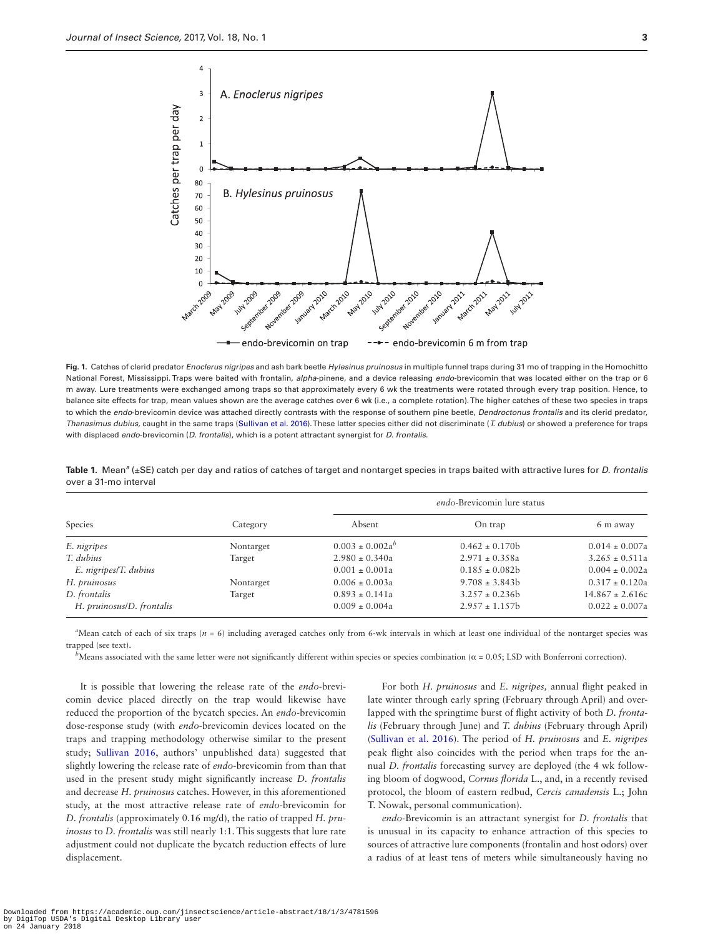

<span id="page-2-0"></span>**Fig. 1.** Catches of clerid predator *Enoclerus nigripes* and ash bark beetle *Hylesinus pruinosus* in multiple funnel traps during 31 mo of trapping in the Homochitto National Forest, Mississippi. Traps were baited with frontalin, *alpha*-pinene, and a device releasing *endo*-brevicomin that was located either on the trap or 6 m away. Lure treatments were exchanged among traps so that approximately every 6 wk the treatments were rotated through every trap position. Hence, to balance site effects for trap, mean values shown are the average catches over 6 wk (i.e., a complete rotation). The higher catches of these two species in traps to which the *endo*-brevicomin device was attached directly contrasts with the response of southern pine beetle, *Dendroctonus frontalis* and its clerid predator, *Thanasimus dubius,* caught in the same traps [\(Sullivan et al. 2016\)](#page-3-11). These latter species either did not discriminate (*T. dubius*) or showed a preference for traps with displaced *endo*-brevicomin (*D. frontalis*), which is a potent attractant synergist for *D. frontalis*.

<span id="page-2-1"></span>Table 1. Mean<sup>a</sup> (±SE) catch per day and ratios of catches of target and nontarget species in traps baited with attractive lures for *D. frontalis* over a 31-mo interval

| Species                   | Category  | endo-Brevicomin lure status |                    |                     |
|---------------------------|-----------|-----------------------------|--------------------|---------------------|
|                           |           | Absent                      | On trap            | 6 m away            |
| E. nigripes               | Nontarget | $0.003 \pm 0.002a^{b}$      | $0.462 \pm 0.170$  | $0.014 \pm 0.007a$  |
| T. dubius                 | Target    | $2.980 \pm 0.340a$          | $2.971 \pm 0.358a$ | $3.265 \pm 0.511a$  |
| E. nigripes/T. dubius     |           | $0.001 \pm 0.001a$          | $0.185 \pm 0.082b$ | $0.004 \pm 0.002a$  |
| H. pruinosus              | Nontarget | $0.006 \pm 0.003a$          | $9.708 \pm 3.843b$ | $0.317 \pm 0.120a$  |
| D. frontalis              | Target    | $0.893 \pm 0.141a$          | $3.257 \pm 0.236$  | $14.867 \pm 2.616c$ |
| H. pruinosus/D. frontalis |           | $0.009 \pm 0.004a$          | $2.957 \pm 1.157$  | $0.022 \pm 0.007a$  |

*a* Mean catch of each of six traps (*n* = 6) including averaged catches only from 6-wk intervals in which at least one individual of the nontarget species was trapped (see text).

*b* Means associated with the same letter were not significantly different within species or species combination ( $\alpha$  = 0.05; LSD with Bonferroni correction).

It is possible that lowering the release rate of the *endo*-brevicomin device placed directly on the trap would likewise have reduced the proportion of the bycatch species. An *endo*-brevicomin dose-response study (with *endo*-brevicomin devices located on the traps and trapping methodology otherwise similar to the present study; [Sullivan 2016](#page-3-11), authors' unpublished data) suggested that slightly lowering the release rate of *endo*-brevicomin from than that used in the present study might significantly increase *D. frontalis* and decrease *H. pruinosus* catches. However, in this aforementioned study, at the most attractive release rate of *endo*-brevicomin for *D. frontalis* (approximately 0.16 mg/d), the ratio of trapped *H. pruinosus* to *D. frontalis* was still nearly 1:1. This suggests that lure rate adjustment could not duplicate the bycatch reduction effects of lure displacement.

For both *H. pruinosus* and *E. nigripes,* annual flight peaked in late winter through early spring (February through April) and overlapped with the springtime burst of flight activity of both *D. frontalis* (February through June) and *T. dubius* (February through April) ([Sullivan et al. 2016\)](#page-3-11). The period of *H. pruinosus* and *E. nigripes* peak flight also coincides with the period when traps for the annual *D. frontalis* forecasting survey are deployed (the 4 wk following bloom of dogwood, *Cornus florida* L., and, in a recently revised protocol, the bloom of eastern redbud, *Cercis canadensis* L.; John T. Nowak, personal communication).

*endo*-Brevicomin is an attractant synergist for *D. frontalis* that is unusual in its capacity to enhance attraction of this species to sources of attractive lure components (frontalin and host odors) over a radius of at least tens of meters while simultaneously having no